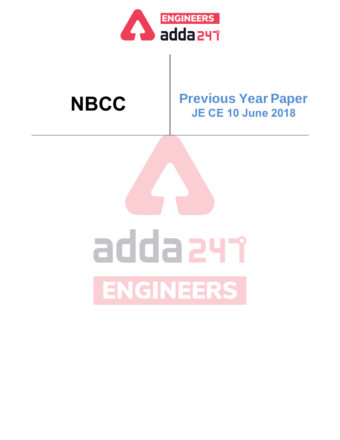

### **NBCC Previous Year Paper JE CE 10 June 2018**

# addazyr ENGINEERS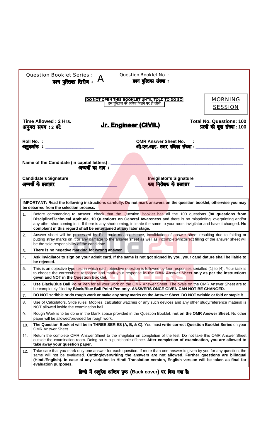|     | <b>Question Booklet Series:</b><br>प्रश्न पुस्तिका सिरीज: $A$                                                                                                                                                                                                                                                                                                                                                                       | <b>Question Booklet No.:</b>                                | प्रश्न पुस्तिका संख्या :                                       |                                  |  |
|-----|-------------------------------------------------------------------------------------------------------------------------------------------------------------------------------------------------------------------------------------------------------------------------------------------------------------------------------------------------------------------------------------------------------------------------------------|-------------------------------------------------------------|----------------------------------------------------------------|----------------------------------|--|
|     |                                                                                                                                                                                                                                                                                                                                                                                                                                     |                                                             |                                                                | <b>MORNING</b><br><b>SESSION</b> |  |
|     | Time Allowed: 2 Hrs.<br><b>Total No. Questions: 100</b><br><u>Jr. Engineer (CIVIL)</u><br>प्रश्नों की कूल संख्या: 100<br>अनुमत समय : 2 बंटे                                                                                                                                                                                                                                                                                         |                                                             |                                                                |                                  |  |
|     | Roll No. :<br>अनुक्रमांक :                                                                                                                                                                                                                                                                                                                                                                                                          |                                                             | <b>OMR Answer Sheet No.</b><br>ओ.एम.आर. उत्तर पत्रिका संख्या : |                                  |  |
|     | Name of the Candidate (in capital letters) :<br>अभ्यर्थी का नाम :                                                                                                                                                                                                                                                                                                                                                                   |                                                             |                                                                |                                  |  |
|     | <b>Candidate's Signature</b><br>अभ्यर्थी के इस्ताक्षर                                                                                                                                                                                                                                                                                                                                                                               |                                                             | <b>Invigilator's Signature</b><br>कक्ष निरीक्षक के इस्ताक्षर   |                                  |  |
|     | IMPORTANT: Read the following instructions carefully. Do not mark answers on the question booklet, otherwise you may<br>be debarred from the selection process.                                                                                                                                                                                                                                                                     |                                                             |                                                                |                                  |  |
| 1.  | Before commencing to answer, check that the Question Booklet has all the 100 questions (90 questions from<br>Discipline/Technical Aptitude, 10 Questions on General Awareness and there is no misprinting, overprinting and/or<br>any other shortcoming in it. If there is any shortcoming, intimate the same to your room invigilator and have it changed. No<br>complaint in this regard shall be entertained at any later stage. |                                                             |                                                                |                                  |  |
| 2.  | Answer sheet will be processed by Electronic means. Hence, invalidation of answer sheet resulting due to folding or<br>putting stray marks on it or any damage to the answer sheet as well as incomplete/incorrect filling of the answer sheet will<br>be the sole responsibility of the candidate.                                                                                                                                 |                                                             |                                                                |                                  |  |
| 3.  | There is no negative marking for wrong answer.                                                                                                                                                                                                                                                                                                                                                                                      |                                                             |                                                                |                                  |  |
| 4.  | Ask invigilator to sign on your admit card. If the same is not got signed by you, your candidature shall be liable to<br>be rejected.                                                                                                                                                                                                                                                                                               |                                                             |                                                                |                                  |  |
| 5.  | This is an objective type test in which each objective question is followed by four responses serialled (1) to (4). Your task is<br>to choose the correct/best response and mark your response in the OMR Answer Sheet only as per the instructions<br>given and NOT in the Question Booklet.                                                                                                                                       |                                                             |                                                                |                                  |  |
| 6.  | Use Black/Blue Ball Point Pen for all your work on the OMR Answer Sheet. The ovals on the OMR Answer Sheet are to<br>be completely filled by Black/Blue Ball Point Pen only. ANSWERS ONCE GIVEN CAN NOT BE CHANGED.                                                                                                                                                                                                                 |                                                             |                                                                |                                  |  |
| 7.  | DO NOT scribble or do rough work or make any stray marks on the Answer Sheet. DO NOT wrinkle or fold or staple it.                                                                                                                                                                                                                                                                                                                  |                                                             |                                                                |                                  |  |
| 8.  | Use of Calculators, Slide rules, Mobiles, calculator watches or any such devices and any other study/reference material is<br>NOT allowed inside the examination hall.                                                                                                                                                                                                                                                              |                                                             |                                                                |                                  |  |
| 9.  | Rough Work is to be done in the blank space provided in the Question Booklet, not on the OMR Answer Sheet. No other<br>paper will be allowed/provided for rough work.                                                                                                                                                                                                                                                               |                                                             |                                                                |                                  |  |
| 10. | The Question Booklet will be in THREE SERIES (A, B, & C). You must write correct Question Booklet Series on your<br><b>OMR Answer Sheet.</b>                                                                                                                                                                                                                                                                                        |                                                             |                                                                |                                  |  |
| 11. | Return the complete OMR Answer Sheet to the invigilator on completion of the test. Do not take this OMR Answer Sheet<br>outside the examination room. Doing so is a punishable offence. After completion of examination, you are allowed to<br>take away your question paper.                                                                                                                                                       |                                                             |                                                                |                                  |  |
| 12. | Take care that you mark only one answer for each question. If more than one answer is given by you for any question, the<br>same will not be evaluated. Cutting/overwriting the answers are not allowed. Further questions are bilingual<br>(Hindi/English). In case of any variation in Hindi Translation version, English version will be taken as final for<br>evaluation purposes.                                              |                                                             |                                                                |                                  |  |
|     |                                                                                                                                                                                                                                                                                                                                                                                                                                     | हिन्दी में अनुदेश अन्तिम पूष्ठ (Back cover) पर दिया गया है। |                                                                |                                  |  |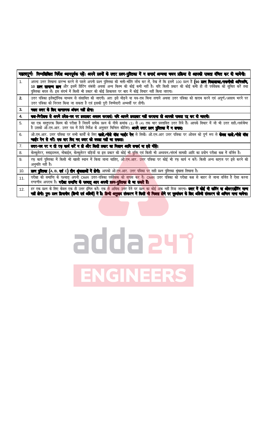|                | महत्वपूर्णः निम्नलिखित निर्देश ध्यानपूर्वक पढ़ें। अपने प्रश्नों के उत्तर प्रश्न-पुरितका में न लगाएं अन्यया चयन प्रक्रिया से आपकी पात्रता वंचित कर दी जायेगी।                                                                                                                                                                                                                                                                                |
|----------------|---------------------------------------------------------------------------------------------------------------------------------------------------------------------------------------------------------------------------------------------------------------------------------------------------------------------------------------------------------------------------------------------------------------------------------------------|
| 1 <sub>1</sub> | अपना उत्तर लिखना प्रारम्भ करने से पहले अपनी प्रश्न पुस्तिका की भली-भाँति जाँच कर लें, देख लें कि इसमें 100 प्रश्न हैं <b>(90 प्रश्न विद्याशाखा/तर्कनीकी अभिस्त्री,</b><br>10 <b>प्रश्न सामान्य ज्ञान</b> और इसमें प्रिंटिंग संबंधी अथवाँ अन्य किस्म की कोई कमी नहीं है। यदि किसी प्रकार की कोई कमी हो तो पर्यवेक्षक को सुचित करें तथा<br>पुस्तिका बदल लें। इस संदर्भ में किसी भी प्रकार की कोई शिकायत पर बाद में कोई विचार नहीं किया जाएगा। |
| 2.             | उत्तर पत्रिका इलेक्ट्रॉनिक माध्यम से संसाधित की जाएगी। अतः इसे मोड़ने या यत्र-तत्र चिन्ह लगाने अथवा उत्तर पत्रिका को खराब करने एवं अपूर्ण∕असत्य भरने पर<br>उत्तर पत्रिका को निरस्त किया जा सकता है एवं इसकी पूरी जिम्मेदारी अभ्यर्थी पर होगी।                                                                                                                                                                                               |
| 3.             | गसत उत्तर के सिए ऋणात्मक अंकन नहीं होगा।                                                                                                                                                                                                                                                                                                                                                                                                    |
| 4.             | कब-निरीबक से अपने प्रवेश-पत्र पर इस्ताबर अवश्य करवाएं। यदि आपने इस्ताबर नहीं करवाया तो आपकी पात्रता रद्द कर दी जाएगी।                                                                                                                                                                                                                                                                                                                       |
| 5.             | यह एक वस्तुपरक किस्म की परीक्षा है जिसमें प्रत्येक प्रश्न के नीचे क्रमांक (1) से (4) तक चार प्रस्तावित उत्तर दिये हैं। आपके विचार में जो भी उत्तर सही∕सर्वश्रेष्ठ<br>है उसको ओ.एम.आर. उत्तर पत्र में दिये निर्देश के अनुसार चिन्हित कीजिए। <b>अपने उत्तर प्रश्न पुस्तिका में न लगाए।</b>                                                                                                                                                    |
| 6.             | ओ.एम.आर. उत्तर पत्रिका पर सभी कार्यों के लिए <b>काले,⁄नीले बॉल पाईट पेन</b> से लिखें। ओ.एम.आर उत्तर पत्रिका पर ओवल को पूर्ण रूप से <b>केवल काले,⁄नीले बॉल</b><br>पाईंट पेन से भरें। एक बार विए गए उत्तर को बदला नहीं जा सकता।                                                                                                                                                                                                               |
|                |                                                                                                                                                                                                                                                                                                                                                                                                                                             |
| 7.             | उत्तर-पत्र पर न तो रफ़ कार्य करें न ही और किसी प्रकार का निशान आदि लगाएं या इसे मोंड़े।                                                                                                                                                                                                                                                                                                                                                     |
| 8.             | केल्कूलेटर, स्लाइडरूल, मोबाईल, केल्कुलेटर घड़ियाँ या इस प्रकार की कोई <u>भी युक्ति</u> एवं किसी भी अध्ययन ∕संदर्भ सामग्री आदि का प्रयोग परीक्षा कक्ष में वर्जित है।                                                                                                                                                                                                                                                                         |
| 9.             | रफ़ कार्य पुस्तिका में किसी भी खाली स्थान में किया जाना चाहिए, ओ.एम.आर. उत्तर पत्रिका पर कोई भी रफ़ कार्य न करें। किसी अन्य कागज पर इसे करने की<br>अनुमति नहीं है।                                                                                                                                                                                                                                                                          |
| 10.            | <b>प्रश्न पुरितका (</b> A, B, <b>एवं C) तीन श्रृंखलाओं में छेगी।</b> आपको ओ.ए <mark>म.आर. उत्तर पत्रिका पर</mark> सही प्रश्न पुरितका श्रृंखला लिखना है।                                                                                                                                                                                                                                                                                     |
| 11.            | परीक्षा की समाप्ति के पश्चात् अपनी OMR उत्तर–पत्रिका पर्यवे <mark>क्षक को वापस कर दें। OMR उत्तर पत्रिका को परीक्षा कक्ष से बाहर ले जाना वर्जित है ऐसा करना</mark><br>दण्डणीय अपराध है। <b>परीमा समाप्ति के पश्चात् आप अपनी प्रश्न-गुस्तिका ले जा सकते हैं।</b>                                                                                                                                                                             |
| 12.            | हर एक प्रश्न के लिए केवल एक ही उत्तर इंगित करें। एक से अधिक उत्तर देने पर प्रश्न का कोई अंक नहीं दिया जाएगा। <b>उत्तर में कोई भी कटिंग या ओवरराईटिंग मान्य</b><br>नहीं होगी। पुनः प्रश्न दिपाषीय (हिन्दी एवं अग्रिजी) में है। हिन्दी अनुवाद संस्करण में किसी भी फिला होने पर मूल्यांकन के लिए अंग्रेजी संस्करण को अन्तिम माना जायेगा।                                                                                                       |

## adda 247 ENGINEERS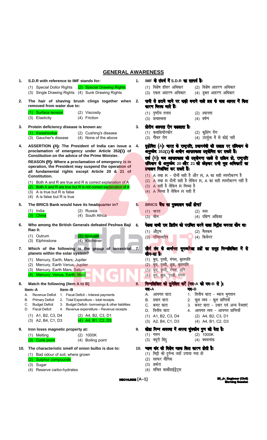#### **GENERAL AWARENESS**

| 1.  | S.D.R with reference to IMF stands for:                                                                                                                          | $\mathbf{1}$ . | IMF के संदर्ष में S.D.R का तात्पर्य हैः                                                                                                                      |
|-----|------------------------------------------------------------------------------------------------------------------------------------------------------------------|----------------|--------------------------------------------------------------------------------------------------------------------------------------------------------------|
|     | (1) Special Dollor Rights<br>(2) Special Drawing Rights<br>(3) Single Drawing Rights (4) Sunk Drawing Rights                                                     |                | (1) विशेष डॉलर अधिकार<br>(2) विशेष आहरण अधिकार<br>(3) एकल आहरण अधिकार<br>(4) डूबत आहरण अधिकार                                                                |
| 2.  | The hair of shaving brush clings together when<br>removed from water due to:                                                                                     | 2.             | पानी से डटाये जाने पर वाढ़ी बनाने वाले ब्रश्च के बाल आपस में किस<br>कारण विपक जाते हैं:                                                                      |
|     | (1) Surface tension<br>(2) Viscosity<br>(4) Friction<br>$(3)$ Elasticity                                                                                         |                | (1) पृष्ठीय तनाव<br>(2) श्यानता<br>(4) घर्षण<br>(3) प्रत्यास्थता                                                                                             |
| 3.  | Protein deficiency disease is known as:                                                                                                                          | 3.             | प्रोटीन अल्पता रोग कडलाता है:                                                                                                                                |
|     | (1) Kwashiorkar<br>(2) Cushing's disease<br>(3) Gaucher's disease<br>(4) None of the above                                                                       |                | (1) कवाशियोरकोर<br>(2) कुशिंग रोग<br>(4) उपर्युक्त में से कोई नहीं<br>(3) गौचर रोग                                                                           |
| 4.  | ASSERTION (A): The President of India can issue a<br>proclamation of emergency under Article 352(1) of<br>Constitution on the advice of the Prime Minister.      | 4.             | दृढ़ोक्ति (A): भारत के राष्ट्रपति, प्रवानमंत्री की सलाइ पर संविवान के<br>अनुच्छेद 352(1) के अधीन आपातकाल उद्धोषित कर सकते हैं।                               |
|     | REASON (R): Where a proclamation of emergency is in<br>operation, the President may suspend the operation of<br>all fundamental rights except Article 20 & 21 of |                | तर्क (R): जब आपातकाल की उद्योषणा पहले से सक्रिय हो, राष्ट्रपति<br>संविधान के अनुच्छेद 20 और 21 को छोड़कर सभी मूल अधिकारों का<br>प्रवालन निलंबित कर सकते हैं। |
|     | <b>Constitution.</b>                                                                                                                                             |                | (1) A तथा R - दोनों सही है और R, A का सही स्पष्टीकरण है<br>(2) A तथा R दोनों सही है लेकिन R, A का सही स्पष्टीकरण नहीं है                                     |
|     | (1) Both A and R are true and R is correct explanation of A<br>(2) Both A and R are true but R is not correct explanation of A                                   |                | $(3)$ A सही है लेकिन R मिथ्या है                                                                                                                             |
|     | $(3)$ A is true but R is false<br>(4) A is false but R is true                                                                                                   |                | (4) A मिथ्या है लेकिन R सही है                                                                                                                               |
| 5.  | The BRICS Bank would have its headquarter in?                                                                                                                    | 5.             | BRICS बैंक का मुख्यालय कहाँ होगा?                                                                                                                            |
|     | $(1)$ India<br>(2) Russia<br>(3) China<br>(4) South Africa                                                                                                       |                | $(1)$ भारत<br>(2) रूस<br>(4) दक्षिण अफ्रिका<br>(3) चीन                                                                                                       |
| 6.  | Who among the British Generals defeated Peshwa Baji<br>Rao II:                                                                                                   | 6.             | पेश्ववा बाजी राव द्वितीय को पराजित करने वाला बिट्रीश जनरल कौन थाः                                                                                            |
|     | (1) Outrum<br><b>Malcom</b><br>(3) Elphinstone<br>(4) Kitchener                                                                                                  |                | (1) औट्रम<br>(2) मैलकम<br>(3) एल्फिन्स्टोन<br>(4) किचेनर                                                                                                     |
| 7.  | Which of the following is the group of terrestrial 7.<br>planets within the solar system?                                                                        |                | सौर्य तंत्र के अर्न्तगत भूमध्यरेखा प्रझें का समूह निम्नलिखित में से<br>कौन-सा हैः                                                                            |
|     | (1) Mercury, Earth, Mars, Jupiter<br>(2) Mercury, Earth Venus, Jupiter                                                                                           |                | (1) बुध, पृथ्वी, मंगल, बृहस्पति<br>(2) बुध, पृथ्वी, शुक्र, बृहस्पति                                                                                          |
|     | (3) Mercury, Earth Mars, Saturn<br>(4) Mercury, Venus, Earth, Mars                                                                                               |                | (3) बुध, पृथ्वी, मंगल, शनि<br>(4) बुध, शुक्र, पृथ्वी, मंगल                                                                                                   |
| 8.  | Match the following (Item A to B)                                                                                                                                | 8.             | निम्नलिखित को सुमेलित करें (मद-A को मद-B से )।                                                                                                               |
|     | Item-A<br>Item–B                                                                                                                                                 |                | मद-A<br>मद-B                                                                                                                                                 |
|     | Revenue Deficit<br>1. Fiscal Deficit - Interest payments<br>А.<br>2. Total Expenditure - total receipts<br><b>Primary Deficit</b><br>В.                          |                | वित्तीय घाटा - ब्याज भुगतान<br>1.<br>A. आयगत घाटा<br>2. कुल व्यय - कुल प्राप्तियाँ<br>प्रधान घाटा<br>В.                                                      |
|     | 3. Budget Deficit- borrowings & other liabilities<br><b>Budget Deficit</b><br>C.<br><b>Fiscal Deficit</b><br>4. Revenue expenditure - Revenue receipts<br>D.     |                | 3. बजट घाटा - उधार एवं अन्य देयताएं<br>C.<br>बजट घाटा<br>वित्तीय घाटा<br>4. आयगत व्यय - आयगत प्राप्तियाँ<br>D.                                               |
|     | (1) A1, B2, C3, D4<br>(2) A4, B2, C3, D1<br>(4) A4, B1, C2, D3<br>(3) A2, B4, C1, D3                                                                             |                | (1) A1, B2, C3, D4<br>(2) A4, B2, C3, D1<br>(3) A2, B4, C1, D3<br>(4) A4, B1, C2, D3                                                                         |
| 9.  | Iron loses magnetic property at:                                                                                                                                 | 9.             | लोहा निम्न अवस्था में अपना चुंबकीय गुण खो देता है:                                                                                                           |
|     | $(2)$ 1000K<br>(1) Melting<br>(3) Curie point<br>(4) Boiling point                                                                                               |                | $(2)$ 1000K<br>$(1)$ गलन<br>(3) क्यूरी बिंदु<br>(4) क्वथनांक                                                                                                 |
| 10. | The characteristic smell of onion bulbs is due to:                                                                                                               |                | 10. प्याज कंद की विशेष महक किस कारण होती है:                                                                                                                 |
|     | (1) Bad odour of soil, where grown                                                                                                                               |                | मिट्टी की दुर्गन्ध जहाँ उगाया गया हो<br>(1)                                                                                                                  |
|     | (2) Sulphur compounds<br>(3) Sugar                                                                                                                               |                | सल्फर यौगिक<br>(2)<br>शर्करा<br>(3)                                                                                                                          |
|     | (4) Reserve carbo-hydrates                                                                                                                                       |                | संचित कार्बोहाईड्रेट्स<br>(4)                                                                                                                                |

**NBC10JNX8**  $[A-1]$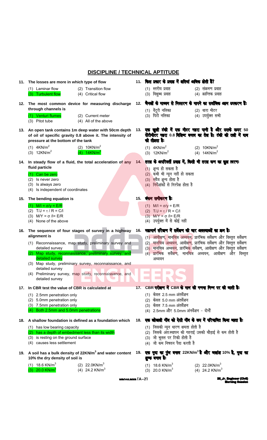#### **DISCIPLINE / TECHNICAL APTITUDE**

|     | 11. The losses are more in which type of flow                                                                                                                                                                       |     | 11. किस प्रकार के प्रवाह में क्षतियां अधिक होती हैं?                                                                                                                                                                                                                                                                 |
|-----|---------------------------------------------------------------------------------------------------------------------------------------------------------------------------------------------------------------------|-----|----------------------------------------------------------------------------------------------------------------------------------------------------------------------------------------------------------------------------------------------------------------------------------------------------------------------|
|     | (1) Laminar flow<br>(2) Transition flow<br>(3) Turbulent flow<br>(4) Critical flow                                                                                                                                  |     | (1) स्तरीय प्रवाह<br>(2) संक्रमण प्रवाह<br>(3) विक्षुब्ध प्रवाह<br>(4) क्रान्तिक प्रवाह                                                                                                                                                                                                                              |
|     | 12. The most common device for measuring discharge<br>through channels is<br>(1) Venturi flumes<br>(2) Current meter<br>(3) Pitot tube<br>(4) All of the above                                                      |     | 12. चैनलों के माध्यम से निस्सरण के मापने का सर्वाधिक आम उपकरण हैं:<br>(1) वेंटुरी नलिका<br>(2) धारा मीटर<br>(3) पिटो नलिका<br>(4) उपर्युक्त सभी                                                                                                                                                                      |
|     | 13. An open tank contains 1m deep water with 50cm depth<br>of oil of specific gravity 0.8 above it. The intensity of<br>pressure at the bottom of the tank                                                          |     | 13. एक खुली टंकी में एक मीटर गहरा पानी है और उसके ऊपर 50<br>सेंटीमीटर गहरा 0.8 विशिष्ट बनत्व का तेल है। टंकी की तली में वाब<br>की तीव्रता है:                                                                                                                                                                        |
|     | $(1)$ 4KN/m <sup>2</sup><br>(2) $10$ KN/m <sup>2</sup><br>$(3)$ 12KN/m <sup>2</sup><br>(4) $14$ KN/m <sup>2</sup>                                                                                                   |     | $(1)$ 4KN/m <sup>2</sup><br>(2) $10KN/m^2$<br>$(3)$ 12KN/m <sup>2</sup><br>(4) $14$ KN/m <sup>2</sup>                                                                                                                                                                                                                |
| 14. | In steady flow of a fluid, the total acceleration of any<br>fluid particle<br>(1) Can be zero<br>Is never zero<br>(2)<br>(3)<br>Is always zero<br>Is independent of coordinates<br>(4)                              | 14. | तरल के अपरिवर्ती प्रवाड में, किसी भी तरल कण का कुल त्वरणः<br>$(1)$ शून्य हो सकता है<br>(2) कभी भी न्यून नहीं हो सकता<br>(3) सदैव शून्य होता है<br>(4) निर्देशांकों से निरपेक्ष होता है                                                                                                                               |
|     | 15. The bending equation is<br>(1) $M/I = \sigma/y = E/R$<br>(2) $T/J = \tau / R = C/I$<br>(3) $M/Y = \sigma / I = E/R$<br>(4) None of the above                                                                    |     | 15. बंकन समीकरण है:<br>(1) $M/I = \sigma / y = E/R$<br>(2) $T/J = \tau / R = C/I$<br>(3) $M/Y = σ / l = E/R$<br>(4) उपर्युक्त में से कोई नहीं                                                                                                                                                                        |
|     | 16. The sequence of four stages of survey in a highway<br>alignment is<br>(1) Reconnaissance, map study, preliminary survey and<br>detailed survey                                                                  | 16. | महामार्ग सरेखण में सर्वेक्षण की चार अवस्थाओं का क्रम है:<br>(1) आवीक्षण, मानचित्र अध्ययन, प्रारंभिक सर्वेक्षण और विस्तृत सर्वेक्षण<br>(2) मानचित्र अध्ययन, आवीक्षण, प्रारंभिक सर्वेक्षण और विस्तृत सर्वेक्षण<br>(3 <mark>) मानचित्र अध्ययन</mark> , प्रारंभि <mark>क स</mark> र्वेक्षण, आवीक्षण और विस्तृत सर्वेक्षण |
|     | (2) Map study, reconnaissance, preliminary survey, and<br>detailed survey<br>(3) Map study, preliminary survey, reconnaissance, and<br>detailed survey<br>(4) Preliminary survey, map study, reconnaissance, and    |     | (4 <mark>) प्रारंभि</mark> क सर्वेक्षण, मानचित्र अध्ययन, आवीक्षण और विस्तृत<br>अध्ययन                                                                                                                                                                                                                                |
|     | detailed survey                                                                                                                                                                                                     |     |                                                                                                                                                                                                                                                                                                                      |
| 17. | In CBR test the value of CBR is calculated at<br>(1) 2.5mm penetration only<br>(2) 5.0mm penetration only<br>(3) 7.5mm penetration only<br>(4) Both 2.5mm and 5.0mm penetrations                                    |     | 17. CBR परीक्षण में CBR के मान की गणना निम्न पर की जाती है:<br>(1) केवल 2.5 mm अंतर्वेशन<br>(2) केवल 5.0 mm अंतर्वेशन<br>(3) केवल 7.5 mm अंतर्वेशन<br>(4) 2.5mm और 5.0mm अंनर्वेशन - दोनों                                                                                                                           |
|     | 18. A shallow foundation is defined as a foundation which<br>(1) has low bearing capacity<br>(2) has a depth of embedment less than its width<br>(3) is resting on the ground surface<br>(4) causes less settlement | 18. | एक खोखली नींव को ऐसी नींव के रूप में परिमाषित किया जाता है:<br>(1) जिसकी न्यून धारण क्षमता होती है<br>(2)  जिसके अंतःस्थापन की गहराई उसकी चौड़ाई से कम होती है<br>(3) जो भूतल पर टिकी होती है<br>(4) जो कम निषदन पैदा करती है                                                                                        |
|     | 19. A soil has a bulk density of 22KN/m <sup>3</sup> and water content<br>10% the dry density of soil is                                                                                                            |     | 19. एक मृदा का पुंज बनत्व 22KN/m <sup>3</sup> है और जलांश 10% है, मृदा का<br>शुष्क बनत्व है:                                                                                                                                                                                                                         |
|     | (1) 18.6 KN/m <sup>3</sup><br>(2) $22.0$ KN/m <sup>3</sup><br>$20.0$ KN/m <sup>3</sup><br>(4) 24.2 KN/m <sup>3</sup>                                                                                                |     | $(1)$ 18.6 KN/m <sup>3</sup><br>(2) $22.0$ KN/m <sup>3</sup><br>$(3)$ 20.0 KN/m <sup>3</sup><br>(4) 24.2 KN/m <sup>3</sup>                                                                                                                                                                                           |

MRC10JNNR [A-2]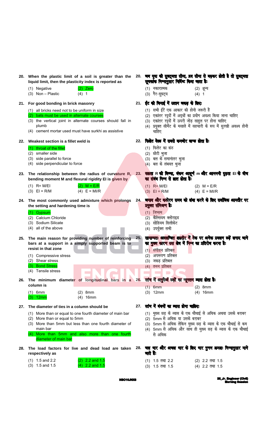|     | 20. When the plastic limit of a soil is greater than the<br>liquid limit, then the plasticity index is reported as                                                                                                         |     | 20. जब मृदा की सुषट्यता सीमा, व्रव सीमा से बढ़कर डोती है तो सुषट्यता<br>सुचकांक निम्नानुसार निर्दिष्ट किया जाता है:                                                                                                                            |
|-----|----------------------------------------------------------------------------------------------------------------------------------------------------------------------------------------------------------------------------|-----|------------------------------------------------------------------------------------------------------------------------------------------------------------------------------------------------------------------------------------------------|
|     | $(2)$ Zero<br>(1) Negative<br>$(3)$ Non - Plastic<br>$(4)$ 1                                                                                                                                                               |     | (1) नकारात्मक<br>(2) शून्य<br>(3) गैर-सुघट्र्य<br>$(4)$ 1                                                                                                                                                                                      |
|     | 21. For good bonding in brick masonry                                                                                                                                                                                      |     | 21. ईंट की विनाई में उत्तम जकड़ के लिए:                                                                                                                                                                                                        |
|     | (1) all bricks need not to be uniform in size<br>(2) bats must be used in alternate courses<br>(3) the vertical joint in alternate courses should fall in<br>plumb<br>(4) cement mortar used must have surkhi as assistive |     | (1) सभी ईंटें एक आकार की होनी जरूरी हैं<br>(2) एकांतर रदृदों में अद्धों का प्रयोग अवश्य किया जाना चाहिए<br>(3) एकांतर रद्दों में ऊपरी जोड़ साहुल पर होना चाहिए<br>(4) प्रयुक्त सीमेंट के मसाले में सहचारी के रूप में सुरखी अवश्य होनी<br>चाहिए |
| 22. | Weakest section is a fillet weld is                                                                                                                                                                                        |     | 22. फिलेट वेल्ड में सबसे कमजोर खण्ड होता है:                                                                                                                                                                                                   |
|     | throat of the fillet<br>(2) smaller side                                                                                                                                                                                   |     | (1) फिलेट का कंठ<br>(2) छोटी भुजा                                                                                                                                                                                                              |
|     | (3) side parallel to force                                                                                                                                                                                                 |     | (3) बल के समानांतर भुजा                                                                                                                                                                                                                        |
|     | (4) side perpendicular to force                                                                                                                                                                                            |     | $(4)$ बल के लंबवत भूजा                                                                                                                                                                                                                         |
|     | 23. The relationship between the radius of curvature R,<br>bending moment M and flexural rigidity El is given by                                                                                                           | 23. | क्क़ता R की त्रिज्या, बंकन आधूर्ण m और आनमनी दृढ़ता EI के बीच<br>का संबंध निम्न से ब्रात होता है:                                                                                                                                              |
|     | $(2)$ M = E/R<br>$(1)$ R= M/EI<br>$(3)$ EI = R/M<br>$(4) E = MI/R$                                                                                                                                                         |     | $(1)$ R= M/EI<br>$(2)$ M = E/R<br>$(3)$ EI = R/M<br>$(4) E = MI/R$                                                                                                                                                                             |
| 24. | The most commonly used admixture which prolongs<br>the setting and hardening time is                                                                                                                                       | 24. | जमाव और कठोरन समय को लंबा करने के लिए सर्वाधिक आमतौर पर<br>प्रयुक्त संमिश्रण हैः                                                                                                                                                               |
|     | (1) Gypsum                                                                                                                                                                                                                 |     | (1) जिप्सम                                                                                                                                                                                                                                     |
|     | (2) Calcium Chloride                                                                                                                                                                                                       |     | (2) कैल्सियम क्लोराइड                                                                                                                                                                                                                          |
|     | (3) Sodium Silicate<br>(4) all of the above                                                                                                                                                                                |     | (3) सोडियम सिलीकेट<br>(4) उपर्युक्त सभी                                                                                                                                                                                                        |
|     |                                                                                                                                                                                                                            |     |                                                                                                                                                                                                                                                |
|     | 25. The main reason for providing number of reinforcing<br>bars at a support in a simply supported beam is to<br>resist in that zone                                                                                       | 25. | सामान्यतः अवलम्बित शहतीर में टेक पर अनेक प्रबलन छड़ें लगाए जाने<br>का मुख्य कारण उस बेत्र में निम्न का प्रतिरोष करना है:                                                                                                                       |
|     | (1) Compressive stress                                                                                                                                                                                                     |     | (1) संपीडन प्रतिबल<br>(2) अपरूपण प्रतिबल                                                                                                                                                                                                       |
|     | (2) Shear stress                                                                                                                                                                                                           |     | (3) जकड़ प्रतिबल                                                                                                                                                                                                                               |
|     | (3) Bond Stress<br>(4) Tensile stress                                                                                                                                                                                      |     | (4) तनन प्रतिबल                                                                                                                                                                                                                                |
|     | 26. The minimum diameter of longitudinal bars in a 26. स्तंष में अनुदेर्घ छड़ों का न्यूनतम व्यास द्येता है:                                                                                                                |     |                                                                                                                                                                                                                                                |
|     | column is                                                                                                                                                                                                                  |     | $(1)$ 6mm<br>$(2)$ 8mm                                                                                                                                                                                                                         |
|     | $(1)$ 6mm<br>$(2)$ 8mm                                                                                                                                                                                                     |     | $(3)$ 12mm<br>$(4)$ 16mm                                                                                                                                                                                                                       |
|     | $(4)$ 16mm<br>$(3)$ 12mm                                                                                                                                                                                                   |     |                                                                                                                                                                                                                                                |
| 27. | The diameter of ties in a column should be                                                                                                                                                                                 |     | 27. स्तंभ में बंबनों का व्यास होना चाहिएः                                                                                                                                                                                                      |
|     | (1) More than or equal to one fourth diameter of main bar<br>(2) More than or equal to 5mm                                                                                                                                 |     | (1) मुख्य छड़ के व्यास के एक चौथाई से अधिक अथवा उसके बराबर<br>(2) 5mm से अधिक या उसके बराबर                                                                                                                                                    |
|     | (3) More than 5mm but less than one fourth diameter of                                                                                                                                                                     |     | (3) 5mm से अधिक लेकिन मुख्य छड़ के व्यास के एक चौथाई से कम                                                                                                                                                                                     |
|     | main bar<br>(4) More than 5mm and also more than one fourth                                                                                                                                                                |     | (4) 5mm से अधिक और साथ ही मुख्य छड़ के व्यास के एक चौथाई<br>से अधिक                                                                                                                                                                            |
|     | diameter of main bar                                                                                                                                                                                                       |     |                                                                                                                                                                                                                                                |
|     | 28. The load factors for live and dead load are taken<br>respectively as                                                                                                                                                   |     | 28. चल पार और अचल पार के लिए पार गुणन क्रमशः निम्नानुसार माने<br>जाते हैं:                                                                                                                                                                     |
|     | 2.2 and 1.5<br>$(1)$ 1.5 and 2.2                                                                                                                                                                                           |     | $(1)$ 1.5 तथा 2.2<br>$(2)$ 2.2 तथा 1.5                                                                                                                                                                                                         |
|     | $(3)$ 1.5 and 1.5<br>2.2 and 1.5                                                                                                                                                                                           |     | $(3)$ 1.5 तथा 1.5<br>(4) 2.2 तथा 1.5                                                                                                                                                                                                           |

**NBC10JNX8**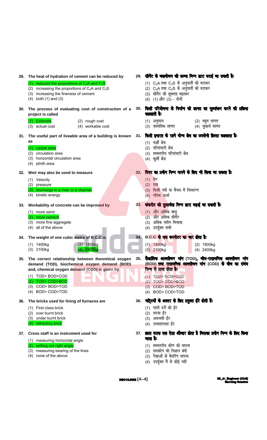|     | 29. The heat of hydration of cement can be reduced by                                                                                                                                                                                     |     | 29. सीमेंट के जलयोजन की ऊष्मा निम्न द्वारा घटाई जा सकती है:                                                                                                                                                                                           |
|-----|-------------------------------------------------------------------------------------------------------------------------------------------------------------------------------------------------------------------------------------------|-----|-------------------------------------------------------------------------------------------------------------------------------------------------------------------------------------------------------------------------------------------------------|
|     | (1) reduced the proportions of $C_2A$ and $C_3S$<br>(2) increasing the proportions of $C_3A$ and $C_3S$<br>(3) increasing the fineness of cement<br>$(4)$ both $(1)$ and $(3)$                                                            |     | (1) $C_2$ A तथा $C_3$ S के अनुपातों को घटाकर<br>(2) $C_3A$ तथा $C_3S$ के अनुपातों को घटाकर<br>(3) सीमेंट की सूक्ष्मता बढ़ाकर<br>(4) (1) और (3) - दोनों                                                                                                |
| 30. | The process of evaluating cost of construction of a<br>project is called                                                                                                                                                                  |     | 30. किसी परियोजना के निर्माण की लागत का मूल्यांकन करने की प्रक्रिया<br>कहलाती है:                                                                                                                                                                     |
|     | (1) Estimate<br>(2) rough cost<br>(4) workable cost<br>(3) actual cost                                                                                                                                                                    |     | (2) स्थूल लागत<br>(1) अनुमान<br>(3) वास्तविक लागत<br>(4) सुकार्य लागत                                                                                                                                                                                 |
| 31. | The useful part of liveable area of a building is known 31.<br>as<br>(1) carpet area<br>(2) circulation area<br>(3) horizontal circulation area<br>(4) plinth area                                                                        |     | किसी इमारत के रहने योग्य बेत्र का उपयोगी हिस्सा कहलाता है:<br>(1) फर्शी क्षेत्र<br>(2) परिसंचारी क्षेत्र<br>(3) समस्तरीय परिसंचारी क्षेत्र<br>(4) कुर्सी क्षेत्र                                                                                      |
| 32. | Weir may also be used to measure<br>(1) Velocity<br>(2) pressure<br>(3) discharge in a river or a channel<br>(4) kinetic energy                                                                                                           | 32. | वियर का प्रयोग निम्न मापने के लिए भी किया जा सकता है:<br>$(1)$ वेग<br>(2) दाब<br>(3) किसी नदी या चैनल में निस्सरण<br>(4)  गतिक ऊर्जा                                                                                                                  |
|     | 33. Workability of concrete can be improved by<br>(1) more sand<br>(2) more cement<br>(3) more fine aggregate<br>(4) all of the above                                                                                                     |     | 33. कंकरीट की सुकार्यता निम्न बारा बढ़ाई जा सकती है:<br>(1) और अधिक बालू<br>(2) और अधिक सीमेंट<br>(3) अधिक महीन मिलावा<br>(4) उपर्युक्त सभी                                                                                                           |
|     | 34. The weight of one cubic metre of R.C.C is<br>$(2)$ 1800kg<br>$(1)$ 1400kg<br>(3) 2100kg<br>$(4)$ 2400kg                                                                                                                               | 34. | R.C.C. के एक बनमीटर का मार होता है:<br>$(1)$ 1400kg<br>(2) 1800kg<br>$(3)$ 2100kg<br>(4) 2400kg                                                                                                                                                       |
|     | 35. The correct relationship between theoretical oxygen<br>demand (TOD), biochemical oxygen demand (BOD)<br>and, chemical oxygen demand (COD) is given by<br>(1) TOD> BOD>COD<br>(2) TOD> COD>BOD<br>(3) COD> BOD>TOD<br>(4) BOD> COD>TOD | 35. | <b>सैद्धांतिक आक्सीजन मांग</b> (TOD) <b>, जीव-रासायनिक आक्सीजन मांग</b><br>(BOD) तथा रासायनिक आक्सीजन मांग (COD) के बीच का संबंध<br>निम्न से प्राप्त होता है:<br>$(1)$ TOD > BOD > COD<br>TOD> COD>BOD<br>(2)<br>(3) COD> BOD>TOD<br>(4) BOD> COD>TOD |
| 36. | The bricks used for lining of furnaces are<br>(1) First class brick<br>(2) over burnt brick<br>(3) under burnt brick<br>(4) refractory brick                                                                                              | 36. | भट्रिटयों के अस्तर के लिए प्रयुक्त ईटे होती हैं:<br>(1) पहले दर्जे की ईंट<br>(2) चटवा ईंट<br>(3) अधजली ईंट<br>(4) उच्चतापसह ईंट                                                                                                                       |
| 37. | Cross staff is an instrument used for<br>(1) measuring horizontal angle<br>(2) setting out right angle<br>(3) measuring bearing of the lines<br>none of the above<br>(4)                                                                  |     | 37. क्रास स्टाफ एक ऐसा औजार होता है जिसका प्रयोग निम्न के लिए किया<br>नाता है:<br>(1) समस्तरीय कोण को मापना<br>समकोण की निशान बंदी<br>(2)<br>(3) रेखाओं के बेयरिंग मापना<br>(4) उपर्युक्त में से कोई नहीं                                             |

 $NBC10JNOS [A-4]$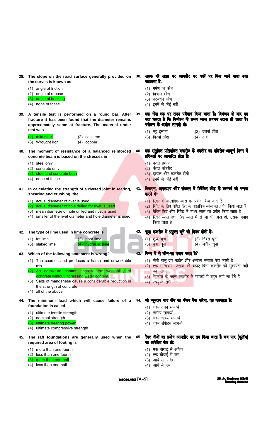- the curves is known as
	- (1) angle of friction
	- (2) angle of repose
	- (3) angle of banking
	- (4) none of these
- 39. A tensile test is performed on a round bar. After fracture it has been found that the diameter remains approximately same at fracture. The material under test was

| (1) mild steel   | $(2)$ cast iron |
|------------------|-----------------|
| (3) Wrought iron | $(4)$ copper    |

- 40. The moment of resistance of a balanced reinforced concrete beam is based on the stresses in
	- (1) steel only
	- (2) concrete only
	- (3) steel and concrete both
	- (4) none of these
- 41. In calculating the strength of a riveted joint in tearing, shearing and crushing, the
	- (1) actual diameter of rivet is used
	- (2) actual diameter of hole drilled for rivet is used
	- (3) mean diameter of hole drilled and rivet is used
	- (4) smaller of the rivet diameter and hole diameter is used

 $(2)$  poor lime

(4) hydraulic lime

42. The type of lime used in lime concrete is

- $(1)$  fat lime
- (3) slaked lime
- 43. Which of the following statement is wrong?
	- (1) The coarse sand produces a harsh and unworkable mix.
	- (2) An admixture cannot increase the workability of concrete without increasing water content.
	- (3) Salts of manganese cause a considerable reduction in the strength of concrete.
	- (4) all of the above
- 44. foundation is called
	- (1) ultimate tensile strength
	- (2) nominal strength
	- (3) ultimate bearing power
	- (4) ultimate compressive strength
- 45. The raft foundations are generally used when the required area of footing is
	- (1) more than one-fourth
	- (2) less than one-fourth
	- (3) more than one-half
	- (4) less than one-half
- 38. The slope on the road surface generally provided on 38. सड़क की सतह पर आमतौर पर वक़ों पर विया जाने वाला ढाल कालाता है:
	- (1) घर्षण का कोण
	- (2) विश्राम कोण
	- (3) तटबंधन कोण
	- (4) इनमें से कोई नहीं
	- एक गोल छह पर तनन परीक्षण किया जाता है। विभंजन के बाद यह  $39<sup>°</sup>$ पता चलता है कि विमंजन के समय व्यास लगभग उतना ही रहता है। परीक्षण के अवीन सामग्री थी:
		- (2) ढलवां लोहा (1) मृदु इस्पात
		- $(3)$  पिटवां लोहा  $(4)$  तांबा
	- एक संतुलित प्रतिबलित कंकरीट के शहतीर का प्रतिरोध-आधूर्ण निम्न में **40** प्रतिवर्तो पर आवारित होता है:
		- (1) केवल इस्पात
		- (2) केवल कंकरीट
		- (3) इस्पात और कंकरीट-दोनों
		- (4) इनमें से कोई नहीं
	- विवारण, अपरूपण और संदलन में रिवेटित जोड़ के सामर्थ्य की गणना  $41.$ करने में:
		- (1) रिवेट के वास्तविक व्यास का प्रयोग किया जाता है
		- (2) रिवेट के लिए बेधित छिद्र के वास्तविक व्यास का प्रयोग किया जाता है
		- (3) वेधित छिद्र और रिवेट के माध्य व्यास का प्रयोग किया जाता है
		- रिवेट व्यास तथा छिद्र व्यास में से जो भी छोटा हो, उसका प्रयोग  $(4)$ किया जाता है

#### 42. चूना कंकरीट में प्रयुक्त चूने की किस्म होती है:

- (1) शुद्ध चूना (2) निवल चूना (4) जलीय चुना (3) बुझा चूना
- निम्न में से कौन-सा कथन गलत है? 43
	- (1) मोटी बालु एक कठोर और असाध्य मसाला पैदा करती है
	- (2) एक सम्मिश्रण, जलांश को बढ़ाए बिना कंकरीट की सुकार्यता नहीं बढा सकता
	- (3) मैंगनीज के लवण कंकरीट के सामर्थ्य में बहुत कमी ला देते हैं
	- (4) उपर्युक्त सभी

The minimum load which will cause failure of a 44. **जो न्यूनतम पार नींव का पंजन पैदा करेगा, वह कहताता है:** 

- (1) चरम तनन सामर्थ्य
- (2) नामीय सामर्थ्य
- (3) चरम धारक सामर्थ्य
- (4) चरम संपीडन सामर्थ्य
- रैफ्ट नीवों का प्रयोग आमतौर पर तब किया जाता है जब पाद (फूर्टिंग) 45. का अपेबित बेत्र हो:
	- (1) एक चौथाई से अधिक
	- (2) एक चौथाई से कम
	- (3) आधे से अधिक
	- (4) आधे से कम

**26\_Jr. Engineer**<br>Morning **8** r (Ch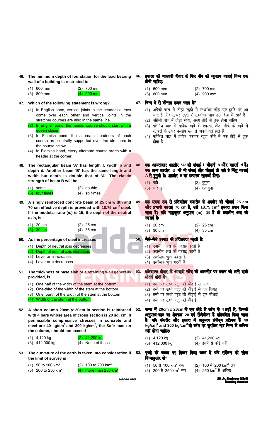46. The minimum depth of foundation for the load bearing wall of a building is restricted to

| (1) 600 mm | $(2)$ 700 mm |
|------------|--------------|
|            |              |

 $(3)$  800 mm  $(4)$  900 mm

#### 47. Which of the following statement is wrong?

- (1) In English bond, vertical joints in the header courses come over each other and vertical joints in the stretcher courses are also in the same line.
- (2) In English bond, the header course should start with a queen closer.
- (3) In Flemish bond, the alternate headeers of each course are centrally supported over the strechers in the course below.
- (4) In Flemish bond, every alternate course starts with a header at the corner.
- 48. The rectangular beam 'A' has length I, width b and depth d. Another beam 'B' has the same length and width but depth is double that of 'A'. The elastic strength of beam B will be
	- $(1)$  same (2) double (3) four times (4) six times
- 49. A singly reinforced concrete beam of 25 cm width and 70 cm effective depth is provided with 18.75 cm<sup>2</sup> steel. If the modular ratio  $(m)$  is 15, the depth of the neutral axis, is

| $(1)$ 20 cm | $(2)$ 25 cm |
|-------------|-------------|
| $(3)$ 30 cm | $(4)$ 35 cm |

- 50. As the percentage of steel increases
	- (1) Depth of neutral axis decreases
	- (2) Depth of neutral axis increases (3) Lever arm increases
	- (4) Lever arm decreases
- 51. The thickness of base slab of a retaining wall generally 51. प्रतिषारक बीवार के आवारी स्तैव को आमतौर पर प्रदान की जाने वाली provided, is
	- (1) One half of the width of the stem at the bottom
	- (2) One-third of the width of the stem at the bottom
	- (3) One fourth of the width of the stem at the bottom
	- (4) Width of the stem at the bottom
- 52. A short column 20cm x 20cm in section is reinforced with 4 bars whose area of cross section is 20 sq. cm. If permissible compressive stresses in concrete and steel are 40 kg/cm<sup>2</sup> and 300 kg/cm<sup>2</sup>, the Safe load on the column, should not exceed

| $(1)$ 4,120 kg   | $(2)$ 41,200 kg   |
|------------------|-------------------|
| $(3)$ 412,000 kg | (4) None of these |

- 53. The curvature of the earth is taken into consideration if 53. the limit of survey is
	- (1) 50 to 100  $km^2$ (2) 100 to 200  $km^2$ (3) 200 to 250  $km^2$ (4) more than 250  $km^2$
- 46. इमारत की भारवाही बीवार के लिए नींव की न्यूनतम गहराई निम्न तक होनी चाहिए:
	- $(1)$  600 mm  $(2)$  700 mm
	- $(3)$  800 mm  $(4)$  900 mm
- 47. निम्न में से कौनसा कथन गलत है?
	- (1) अंग्रेजी चाल में तोडा रददों में ऊर्ध्वाधर जोड एक-दसरे पर आ जाते हैं और स्ट्रेचर रद्दों के ऊर्ध्वाधर जोड़ उसी रेखा में रहते हैं
	- (2) अंग्रेजी चाल में तोड़ा रदुदा, अद्धा तोड़े से शुरू होना चाहिए
	- (3) फ्लेमिश चाल में प्रत्येक रददे के एकांतर तोड़ा नीचे के रददे में स्ट्रेचरों के ऊपर केन्द्रीय रूप से अवलम्बित होते हैं
	- (4) फ्लेमिश चाल में प्रत्येक एकांतर रद्दा कोने में एक तोड़े से शुरू होता है
- एक आयताकार शहतीर 'A' की लंबाई I, चौड़ाई b और गहराई d है। 48. एक अन्य शहतीर 'B' की भी लंबाई और चौड़ाई तो वही है किंतु गहराई A से दुगुनी है। शहतीर B का प्रत्यास्य सामर्थ्य होगाः
	- (1) वही (2) दुगुना
	- (3) चार गुना  $(4)$   $\overline{8}$ : गना
- एक एकत रूप से प्रतिबलित कंकरीट के शहतीर की चौड़ाई 25 cm 49 और प्रभावी गडराई 70 cm है, उसे 18.75 cm<sup>2</sup> इस्पात प्रदान किया जाता है। यदि माड्यूलर अनुपात (m) 15 है तो उदासीन अब की गहराई है:

| $(1)$ 20 cm | $(2)$ 25 cm |
|-------------|-------------|
| $(3)$ 30 cm | $(4)$ 35 cm |

- जैसे-जैसे इस्पात की प्रतिशतता बढ़ती है:
	- (1) उदासीन अक्ष की गहराई घटती है
	- (2) उदासीन अक्ष की गहराई बढ़ती है
	- (3) उत्तोलक भुजा बढ़ती है
	- (4) उत्तोलक भुजा घटती है
- मोटाई होती है:
	- (1) तली पर ऊर्ध्व पटट की चौड़ाई से आधी
	- (2) तली पर ऊर्ध्व पटंट की चौडाई से एक तिहाई
	- (3) तली पर ऊर्ध्व पट्ट की चौड़ाई से एक चौथाई
- (4) तली पर ऊर्ध्व पट्ट की चौडाई
- खण्ड में 20cm x 20cm के एक छोटे से स्तंष के 4 छड़ों से, जिनकी  $52<sub>1</sub>$ अनुप्रस्थ-काट का बेत्रफल 20 वर्ग सेंटीमीटर है प्रतिबलित किया जाता है। यदि कंकरीट और इस्पात में अनुमत्य संपीड्य प्रतिबल हैं 40 kg/cm<sup>2</sup> and 300 kg/cm<sup>2</sup> तो स्तंप पर सुरक्षित भार निम्न से अधिक नहीं होना चाहिए:
	- $(1)$  4,120 kg (2) 41,200 kg  $(3)$  412,000 kg (4) इनमें से कोई नहीं
	- पूष्वी की वक्रता पर विचार किया जाता है यदि सर्वेश्वण की सीमा निम्नानुसार होः
		- (1) 50 से 100 km<sup>2</sup> तक (2) 100 से 200 km<sup>2</sup> तक
		- (3) 200 से 250 km<sup>2</sup> तक (4) 250 km<sup>2</sup> से अधिक

**MBAJA IN** 

r (Civil) 26 Jr. Enair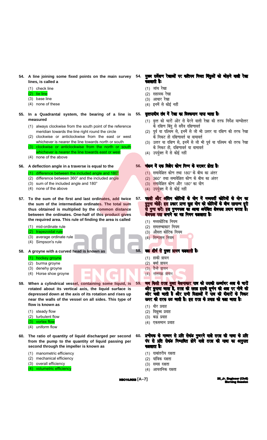54. A line joining some fixed points on the main survey lines, is called a

#### (1) check line

#### $(2)$  tie line

- (3) base line
- (4) none of these
- 55. In a Quadrantal system, the bearing of a line is measured
	- (1) always clockwise from the south point of the reference meridian towards the line right round the circle
	- (2) clockwise or anticlockwise from the east or west whichever is nearer the line towards north or south
	- (3) clockwise or anticlockwise from the north or south whichever is nearer the line towards east or west
	- (4) none of the above
- 56. A deflection angle in a traverse is equal to the

#### (1) difference between the included angle and 180°

- (2) difference between 360° and the included angle
- (3) sum of the included angle and 180°
- (4) none of the above
- 57. To the sum of the first and last ordinates, add twice the sum of the intermediate ordinates. The total sum thus obtained is multiplied by the common distance between the ordinates. One-half of this product gives the required area. This rule of finding the area is called
	- (1) mid-ordinate rule
	- (2) trapezoidal rule
	- (3) average ordinate rule
	- (4) Simpson's rule
- 58. A groyne with a curved head is known as

#### (1) hockey groyne

- (2) burma groyne
- (3) denehy groyne
- (4) Horse shoe groyne
- 59. When a cylindrical vessel, containing some liquid, is rotated about its vertical axis, the liquid surface is depressed down at the axis of its rotation and rises up near the walls of the vessel on all sides. This type of flow is known as
	- (1) steady flow
	- (2) turbulent flow
	- (3) vortex flow
	- (4) uniform flow
- 60. The ratio of quantity of liquid discharged per second from the pump to the quantity of liquid passing per second through the impeller is known as
	- (1) manometric efficiency
	- (2) mechanical efficiency
	- (3) overall efficiency
	- (4) volumetric efficiency
- 54. मुख्य सर्वेश्वण रेखाओं पर करीपय नियत बिंदुओं को जोड़ने वाली रेखा कडलाती है:
	- (1) जांच रेखा
	- (2) सहायक रेखा
	- (3) आधार रेखा
	- (4) इनमें से कोई नहीं

#### वृत्तपादीय तंत्र में रेखा का विक्कमान मापा जाता है: 55.

- (1) वत्त को चारों ओर से घेरने वाली रेखा की तरफ निर्देश याम्योत्तर के दक्षिण बिंदु से सदैव दक्षिणावर्त
- (2) पूर्व या पश्चिम से, इनमें से जो भी उत्तर या दक्षिण की तरफ रेखा के निकट हो दक्षिणावर्त या वामावर्त
- (3) उत्तर या दक्षिण से, इनमें से जो भी पूर्व या पश्चिम की तरफ रेखा के निकट हो, दक्षिणावर्त या वामावर्त
- (4) उपर्युक्त में से कोई नहीं

#### 56. चंक्रम में एक विश्वेप कोण निम्न के बराबर होता है:

- $(1)$  समावेशित कोण तथा 180° के बीच का अंतर
- $(2)$  360° तथा समावेशित कोण के बीच का अंतर
- $(3)$  समावेशित कोण और 180° का योग
- (4) उपर्युक्त में से कोई नहीं
- पहली और अंतिम कोटियों के योग में मध्यवर्ती कोटियों के योग का 57. बुगुना जोड़ें। इस प्रकार प्राप्त कुल योग को कोटियों के बीच सामान्य दूरी<br>से गुणा करें। इस गुणनफल का आवा अपेक्षित बेत्रफल प्रदान करता है। बेत्रफल पता लगाने का यह नियम कहलाता है:
	- (1) मध्यकोटिक नियम
	- (2) समलम्बाकार नियम
	- (3) औसत कोटिक नियम
	- (4) सिम्पसन नियम

#### वक शीर्ष से युक्त प्रायन कहलाती है:

- (1) हाकी ग्रायन
- (2) बर्मा ग्रायन
- (3) डैन्हे ग्रायन
- $(4)$  नालवक्र ग्रायन
- जब किसी तरल युक्त बेलनाकार पात्र को उसकी ऊर्ध्वाघर अक्ष के चारों ओर मुमाया जाता है, तरल की सतह इसके घूर्णन की अब पर नीचे की ओर चली जाती है और सभी विज्ञाओं में पात्र की वीवारों के निकट ऊपर की तरफ उठ जाती है। इस तरह के प्रवाह को कहा जाता है:
- (1) धीर प्रवाह

59.

- (2) विक्षुब्ध प्रवाह
- (3) बद्ध प्रवाह
- (4) एकसमान प्रवाह
- प्रणोदक के माध्यम से प्रति सेकंड गुजरने वाले तरल की मात्रा के प्रति 60. पंप से प्रति सेकंड निष्पादित होने वाले तरल की मात्रा का अनुपात कडलाता है:
	- (1) दाबांतरीय दक्षता
	- (2) यांत्रिक दक्षता
	- (3) समग्र दक्षता
	- (4) आयतनिक दक्षता

**NBC10JNX8 [A-7]** 

**26\_Jr. Engineer**<br>Morning **8** r (Clv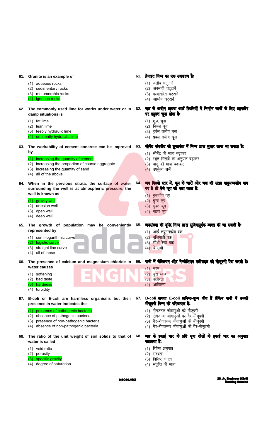|     | 61. Granite is an example of                                                                                                                                                                                                                           |     | 61. ग्रेनाइट निम्न का एक उदाहरण है:                                                                                                                                                                                                                 |
|-----|--------------------------------------------------------------------------------------------------------------------------------------------------------------------------------------------------------------------------------------------------------|-----|-----------------------------------------------------------------------------------------------------------------------------------------------------------------------------------------------------------------------------------------------------|
|     | (1) aqueous rocks<br>(2) sedimentary rocks<br>(3) metamorphic rocks<br>(4) igneous rocks                                                                                                                                                               |     | (1) जलीय चट्टानें<br>(2) अवसादी चट्टानें<br>(3) कायांतरित चट्टानें<br>(4) आग्नेय चट्टानें                                                                                                                                                           |
|     | 62. The commonly used lime for works under water or in<br>damp situations is<br>$(1)$ fat lime<br>(2) lean lime<br>(3) feebly hydraulic lime<br>(4) eminently hydraulic lime                                                                           | 62. | जल के अधीन अथवा आर्द्र स्थितियों में निर्माण कार्यों के लिए आमतौर<br>पर प्रयुक्त चूना सेता हैः<br>(1) शुद्ध चूना<br>(2) निबल चूना<br>(3) दुर्बल जलीय चूना<br>(4) प्रबल जलीय चूना                                                                    |
|     | 63. The workability of cement concrete can be improved<br>by<br>(1) increasing the quantity of cement<br>(2) increasing the proportion of coarse aggregate<br>(3) increasing the quantity of sand<br>(4) all of the above                              |     | 63. सीमेंट कंकरीट की सुकार्यता में निम्न डारा सुवार लाया जा सकता है:<br>(1) सीमेंट की मात्रा बढ़ाकर<br>(2) स्थूल मिलावे का अनुपात बढ़ाकर<br>(3) बालू की मात्रा बढ़ाकर<br>(4) उपर्युक्त सभी                                                          |
|     | 64. When in the pervious strata, the surface of water<br>surrounding the well is at atmospheric pressure, the<br>well is known as<br>(1) gravity well<br>(2) artesian well<br>(3) open well<br>(4) deep well                                           | 64. | जब पिछले स्तर में, कूप के चारों ओर जल की सतह वायुमण्डलीय वाब<br>पर है तो ऐसे कूप को कहा जाता है:<br>(1) गुरुत्वीय कूप<br>(2) बुम्ब कूप<br>(3) मुक्त कूप<br>(4) गहरा कूप                                                                             |
| 65. | The growth of population may be conveniently<br>represented by<br>(1) semi-logarithmic curve<br>(2) logistic curve<br>(3) straight line curve<br>(4) all of these                                                                                      |     | 65. जनसंख्या की वृद्धि निम्न द्वारा सुविषापूर्वक व्यक्त की जा सकती है:<br>(1) अर्द्ध-लघुगणकीय वक्र<br>(2) वृद्धिघाती वक्र<br>(3) सीधी रेखा वक्र<br>(4) ये सभी                                                                                       |
| 66. | The presence of calcium and magnesium chloride in<br>water causes<br>(1) softening<br>(2) bad taste<br>(3) hardness<br>(4) turbidity                                                                                                                   |     | 66. पानी में कैल्शियम और मैग्नीशियम क्लोराइड की मौजूदगी पैदा करती है:<br>(1) नरम<br>(2) बुरा स्वाद<br>(3) कठोरता<br>(4) आविलता                                                                                                                      |
|     | 67. B-coli or E-coli are harmless organisms but their<br>presence in water indicates the<br>presence of pathogenic bacteria<br>(2) absence of pathogenic bacteria<br>(3) presence of non-pathogenic bacteria<br>(4) absence of non-pathogenic bacteria | 67. | B-coli अथवा E-coli अनिष्ट-शुन्य जीव हैं लेकिन पानी में उनकी<br>मौजूदगी निम्न की परिचायक है:<br>(1) रोगजनक जीवाणुओं की मौजूदगी<br>(2) रोगजनक जीवाणुओं की गैर-मौजूदगी<br>(3) गैर-रोगजनक जीवाणुओं की मौजूदगी<br>(4) गैर-रोगजनक जीवाणुओं की गैर-मौजूदगी |
|     | 68. The ratio of the unit weight of soil solids to that of<br>water is called<br>(1) void ratio<br>(2) porosity<br>(3) specific gravity<br>(4) degree of saturation                                                                                    | 68. | जल के इकाई भार के प्रति मूवा ठोसों के इकाई भार का अनुपात<br>कस्लाता है:<br>(1) रिक्ति अनुपात<br>(2) सरंध्रता<br>(3) विशिष्ट घनत्व<br>(4) संतृप्ति की मात्रा                                                                                         |

**NBC10JNX8**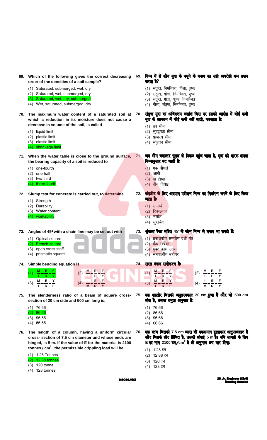|     | 69. Which of the following gives the correct decreasing<br>order of the densities of a soil sample?<br>(1) Saturated, submerged, wet, dry<br>(2) Saturated, wet, submerged, dry<br>(3) Saturated, wet, dry, submerged<br>(4) Wet, saturated, submerged, dry |     | 69. निम्न में से कौन मूवा के नमूने के घनत्व का सही अवरोही क्रम प्रवान<br>करता है?<br>(1) संतृप्त, निमज्जित, गीला, शुष्क<br>(2) संतृप्त, गीला, निमज्जित, शुष्क<br>(3) संतृप्त, गीला, शुष्क, निमज्जित<br>(4) गीला, संतृप्त, निमज्जित, शुष्क |
|-----|-------------------------------------------------------------------------------------------------------------------------------------------------------------------------------------------------------------------------------------------------------------|-----|-------------------------------------------------------------------------------------------------------------------------------------------------------------------------------------------------------------------------------------------|
| 70. | The maximum water content of a saturated soil at<br>which a reduction in its moisture does not cause a<br>decrease in volume of the soil, is called<br>(1) liquid limit<br>plastic limit<br>(2)<br>(3) elastic limit<br>(4) shrinkage limit                 | 70. | संतूप्त मूवा का अविकतम जलांश जिस पर इसकी आर्वता में कोई कमी<br>मूवा के आयतन में कोई कमी नहीं लाती, कहलाता है:<br>(1) द्रव सीमा<br>(2) सुघट्यता सीमा<br>(3) प्रत्यास्थ सीमा<br>(4) संकुचन सीमा                                             |
|     | 71. When the water table is close to the ground surface,<br>the bearing capacity of a soil is reduced to<br>(1) one-fourth<br>(2) one-half<br>(3) two-third<br>(4) three-fourth                                                                             |     | 71. जब भौम जलस्तर भूतल के निकट पहुंच जाता है, मूवा की बारक क्षमता<br>निम्नानुसार घट जाती है:<br>$(1)$ एक चौथाई<br>(2) आधी<br>(3) दो तिहाई<br>(4) तीन चौथाई                                                                                |
| 72. | Slump test for concrete is carried out, to determine<br>(1) Strength<br>(2) Durability<br>(3) Water content<br>workability<br>(4)                                                                                                                           |     | 72. कंकरीट के लिए अवपात परीक्षण निम्न का निर्वारण करने के लिए किया<br>जाता है:<br>(1) सामर्थ्य<br>(2) टिकाऊपन<br>$(3)$ जलांश<br>(4) सुकार्यता                                                                                             |
|     | 73. Angles of 45° with a chain line may be set out with<br>(1) Optical square<br>(2) French square<br>(3) open cross staff<br>(4) prismatic square                                                                                                          | 73. | श्रृंखला रेखा सहित 45° के कोण निम्न से बनाए जा सकते हैं:<br>(1) प्रकाशकीय समकोण दर्शी यंत्र<br>(2) फ्रैंच स्क्वेयर<br>(3) मुक्त क्रास स्टाफ<br>समपार्श्वीय स्क्वेयर<br>(4)                                                                |
|     | 74. Simple bending equation is<br>Y<br>(3)                                                                                                                                                                                                                  |     | 74. सरल बंकन समीकरण है:<br>(4) $\frac{1}{M} = \frac{E}{R} = \frac{F}{V}$<br>(3)                                                                                                                                                           |
|     | 75. The slenderness ratio of a beam of square cross-<br>section of 20 cm side and 500 cm long is,<br>$(1)$ 76.66<br>86.66<br>(2)<br>$(3)$ 96.66<br>$(4)$ 66.66                                                                                              | 75. | एक शहरीर जिसकी अनुप्रस्थकाट 20 cm पुजा है और जो 500 cm<br>लंबा है, उसका तनुता अनुपात है:<br>$(1)$ 76.66<br>$(2)$ 86.66<br>$(3)$ 96.66<br>$(4)$ 66.66                                                                                      |
|     | 76. The length of a column, having a uniform circular<br>cross- section of 7.5 cm diameter and whose ends are<br>hinged, is 5 m. If the value of E for the material is 2100                                                                                 | 76. | एक स्तं <b>म जिसकी 7.5 cm व्यास की एकसमान वृत्ताकार अनुप्रस्वकाट है</b><br>और जिसके छोर हिंजित है, उसकी लंबाई 5 m है। यदि सामग्री के लिए<br>E का मान 2100 टन/cm <sup>2</sup> है तो अनुमत्य क्षय भार होगाः                                 |

- cross- section of 7.5 cm diameter and whose ends are hinged, is 5 m. If the value of E for the material is 2100 tonnes /  $cm<sup>2</sup>$ , the permissible crippling load will be
	- $(1)$  1.28 Tonnes  $(2)$  12.88 tonnes  $(3)$  120 tonne
	- $(4)$  128 tonnes

**NBC10JNX8** 

(1) 1.28 टन

(3) 120 टन

(4) 128 टन

(2) 12.88 टन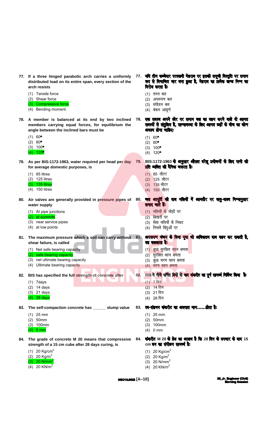|     | 77. If a three hinged parabolic arch carries a uniformly<br>distributed load on its entire span, every section of the<br>arch resists                | 77. | याद तान कब्जवार परवलया महराब पर इसका समूचा ावस्तूात पर समान<br>रूप से विभाजित भार बना हुआ है, मेहराब का प्रत्येक खण्ड निम्न का<br>विरोष करता है: |
|-----|------------------------------------------------------------------------------------------------------------------------------------------------------|-----|--------------------------------------------------------------------------------------------------------------------------------------------------|
|     | (1) Tensile force<br>(2) Shear force<br>(3) Compressive force<br>(4) Bending moment.                                                                 |     | (1) तनन बल<br>अपरूपण बल<br>(2)<br>(3) संपीडन बल<br>(4) बंकन आघूर्ण                                                                               |
|     | 78. A member is balanced at its end by two inclined<br>members carrying equal forces, for equilibrium the<br>angle between the inclined bars must be | 78. | एक सदस्य अपने छोर पर समान बल का वहन करने वाले वो आनत<br>सदस्यों से संतुलित है, साम्यावस्था के लिए आनत छड़ों के बीच का कोण<br>अवश्य होना चाहिए:   |
|     | $(1) 60^{\circ}$<br>$(2) 80^{\circ}$<br>$(3) 100^{\circ}$<br>$(4) 120^{\circ}$                                                                       |     | $(1) 60^{\circ}$<br>$(2) 80^{\circ}$<br>$(3) 100^{\circ}$<br>$(4)$ 120 <sup>o</sup>                                                              |
|     | 79. As per BIS:1172-1963, water required per head per day<br>for average domestic purposes, is                                                       |     | 79. BIS:1172-1963 के अनुसार औसत बरेलू प्रयोजनों के लिए पानी की<br>प्रति व्यक्ति की दैनिक जरूरत है:                                               |
|     | $(1)$ 85 litres<br>$(2)$ 125 litres<br>(3) 135 litres<br>(4) 150 litres                                                                              |     | (1) 85 लीटर<br>(2) 125 लीटर<br>(3) 135 लीटर<br>(4) 150 लीटर                                                                                      |
|     | 80. Air valves are generally provided in pressure pipes of<br>water supply                                                                           | 80. | जत आपूर्ति की बाब नतियों में आमतौर पर वायु-वाल्व निम्नानुसार<br><b>लगाए जाते हैं:</b>                                                            |
|     | (1) At pipe junctions<br>(2) at summits<br>(3) near service pipes<br>(4) at low points                                                               |     | (1) नलियों के जोड़ों पर<br>शिखरों पर<br>(2)<br>(3) सेवा नलियों के निकट<br>(4) निचले बिंदुओं पर                                                   |
|     | 81. The maximum pressure which a soil can carry without 81. अपसपण पंजन के बिना मूवा जो अधिकतम वाब वहन कर सकती है,<br>shear failure, is called        |     | वह कहलाता है:                                                                                                                                    |
|     | (1) Net safe bearing capacity<br>(2) safe bearing capacity<br>(3) net ultimate bearing capacity<br>(4) Ultimate bearing capacity                     |     | (1 <mark>) शुद्ध सु</mark> रक्षित वहन क्षमता<br>(2) सुरक्षित वहन क्षमता<br>(3) शुद्ध चरम वहन क्षमता<br>(4) चरम वहन क्षमता                        |
|     | 82. BIS has specified the full strength of concrete after<br>$(1)$ 7 days                                                                            | 82. | BIS ने नीवे वर्णित दिनों के बाद कंकरीट का पूर्ण सामर्थ्य निर्दिष्ट किया है:<br>$(1)$ 7 दिन                                                       |
|     | $(2)$ 14 days<br>$(3)$ 21 days<br>$(4)$ 28 days                                                                                                      |     | (2) 14 दिन<br>(3) 21 दिन<br>(4) 28 दिन                                                                                                           |
| 83. | The self-compaction concrete has _______ slump value                                                                                                 |     | 83. स्व-संडनन कंकरीट का अवपात मानहोता है:                                                                                                        |
|     | $(1)$ 25 mm<br>$(2)$ 50mm<br>$(3)$ 100mm<br>$(4)$ 0 mm                                                                                               |     | $(1)$ 25 mm<br>(2) 50mm<br>$(3)$ 100mm<br>(4) 0 mm                                                                                               |
|     | 84. The grade of concrete M 20 means that compressive<br>strength of a 15 cm cube after 28 days curing, is                                           | 84. | कंकरीट M 20 के ग्रेड का आश्चय है कि 28 दिन के उपचार के बाद 15<br>cm वन का संपीडन सामर्थ्य है:                                                    |
|     | (1) 20 Kg/cm <sup>2</sup><br>(2) 20 Kg/m <sup>2</sup><br>(3) 20 $N/mm^2$<br>(4) 20 KN/m <sup>2</sup>                                                 |     | (1) 20 Kg/cm <sup>2</sup><br>(2) 20 $\text{Kg/m}^2$<br>(3) 20 $N/mm^2$<br>(4) 20 KN/m <sup>2</sup>                                               |

 $\sim$   $\sim$ 

 $\sim$   $\sim$   $\sim$ 

**NBC10JNX8** [A-10]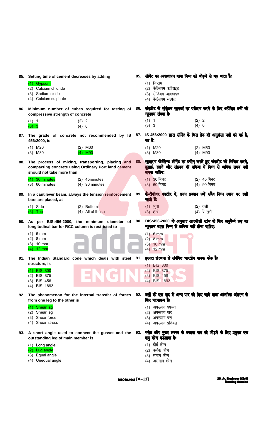|     | 85. Setting time of cement decreases by adding<br>(1) Gypsum<br>(2) Calcium chloride<br>(3) Sodium oxide<br>(4) Calcium sulphate                                                                | 85. | सीमेंट का अवस्थापन काल निम्न को जोड़ने से बढ़ जाता है:<br>(1) जिप्सम<br>(2) कैल्सियम क्लोराइड<br>(3) सोडियम आक्साइड<br>(4) कैल्सियम सल्फेट         |
|-----|-------------------------------------------------------------------------------------------------------------------------------------------------------------------------------------------------|-----|----------------------------------------------------------------------------------------------------------------------------------------------------|
|     | 86. Minimum number of cubes required for testing of 86.<br>compressive strength of concrete<br>(2) 2<br>(1) 1<br>(3) 3<br>(4) 6                                                                 |     | कंकरीट के संपीडन सामर्थ्य का परीक्षण करने के लिए अपेक्षित बनों की<br>न्यूनतम संख्या हैः<br>(1) 1<br>(2) 2<br>(3) 3<br>(4) 6                        |
|     | 87. The grade of concrete not recommended by IS 87. IS 456:2000 <b>द्यारा सीमेंट के लिस ग्रेड की अनुशंसा नहीं की गई है,</b><br>456:2000, is<br>$(1)$ M20<br>$(2)$ M60<br>$(3)$ M80<br>$(4)$ M90 |     | वह है:<br>$(2)$ M60<br>$(1)$ M20<br>$(3)$ M80<br>$(4)$ M90                                                                                         |
| 88. | The process of mixing, transporting, placing and<br>compacting concrete using Ordinary Port land cement<br>should not take more than                                                            | 88. | सावारण पोर्टलैण्ड सीमेंट का प्रयोग करते हुए कंकरीट को मिश्रित करने,<br>बुलाई, रखने और संडनन की प्रक्रिया में निम्न से अधिक समय नहीं<br>लगना चाहिएः |
|     | $(1)$ 30 minutes<br>(2) 45 minutes<br>$(3)$ 60 minutes<br>$(4)$ 90 minutes                                                                                                                      |     | $(1)$ 30 मिनट<br>(2) 45 मिनट<br>(3) 60 मिनट<br>(4) 90 मिनट                                                                                         |
| 89. | In a cantilever beam, always the tension reinforcement<br>bars are placed, at                                                                                                                   | 89. | कैन्टीलीवर शहतीर में, तनन प्रबलन छड़ें सदैव निम्न स्थान पर रखी<br>जाती हैं:                                                                        |
|     | $(1)$ Side<br>(2) Bottom<br>$(3)$ Top<br>(4) All of these                                                                                                                                       |     | (2) तली<br>$(1)$ भुजा<br>(4) ये सभी<br>(3) शीर्ष                                                                                                   |
|     | 90. As per BIS:456-2000, the minimum diameter of<br>longitudinal bar for RCC column is restricted to                                                                                            | 90. | BIS:456-2000 के अनुसार आरसीसी स्तंष के लिए अनुदैर्घ छड़ का<br>न्यूनतम व्यास निम्न से अधिक नहीं होना चाहिएः                                         |
|     | (1) 6 mm<br>$(2)$ 8 mm<br>$(3)$ 10 mm<br>$(4)$ 12 mm                                                                                                                                            |     | $(1) 6$ mm<br>$(2)$ 8 mm<br>$(3)$ 10 mm<br>$(4)$ 12 mm                                                                                             |
| 91. | The Indian Standard code which deals with steel<br>structure, is                                                                                                                                | 91. | इस्पात संरचना से संबंधित भारतीय मानक कोड है:<br>$(1)$ BIS: 800                                                                                     |
|     | $(1)$ BIS: 800<br><b>BIS: 875</b><br>(2)<br>$(3)$ BIS: 456<br>(4) BIS: 1893                                                                                                                     |     | $(2)$ BIS: 875<br>$(3)$ BIS: 456<br>(4) BIS: 1893                                                                                                  |
|     | 92. The phenomenon for the internal transfer of forces<br>from one leg to the other is                                                                                                          |     | 92. बलों को एक पाद से अन्य पाद को किए जाने वाला आंतरिक अंतरण के<br>लिए घटनाक्रम है:                                                                |
|     | (1) Shear lag<br>(2) Shear leg<br>Shear force<br>(3)<br>(4) Shear stress                                                                                                                        |     | (1) अपरूपण पश्चता<br>(2) अपरूपण पाद<br>(3) अपरूपण बल<br>(4) अपरूपण प्रतिबल                                                                         |
|     | 93. A short angle used to connect the gusset and the<br>outstanding leg of main member is                                                                                                       | 93. | गसेट और मुख्य सदस्य के बकाया पाद को जोड़ने के लिए प्रयुक्त एक<br>लघु कोण कडलाता है:                                                                |
|     | (1) Long angle<br>(2) Lug angle<br>Equal angle<br>(3)<br>(4) Unequal angle                                                                                                                      |     | (1) दीर्घ कोण<br>(2) कर्णक कोण<br>(3) समान कोण<br>(4) असमान कोण                                                                                    |